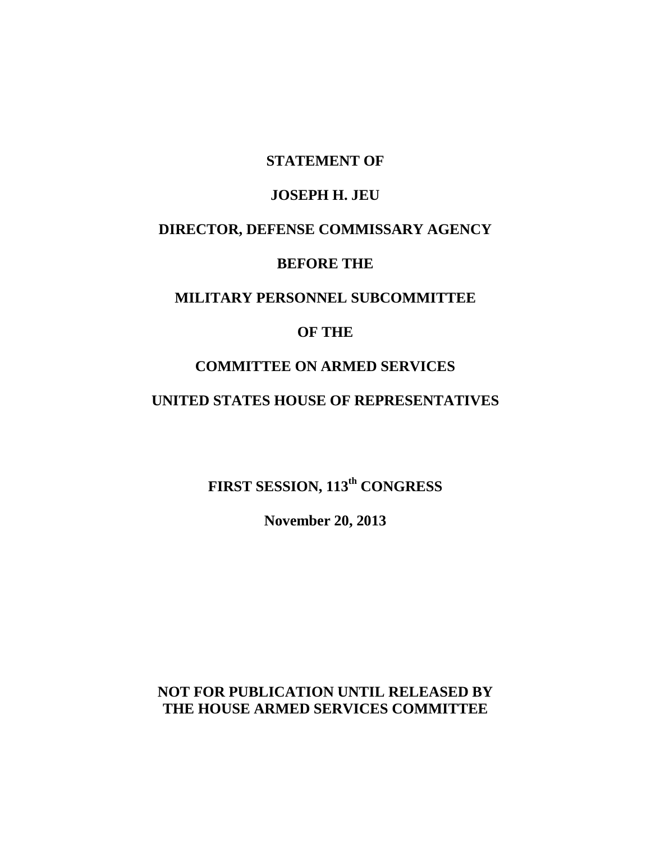## **STATEMENT OF**

#### **JOSEPH H. JEU**

# **DIRECTOR, DEFENSE COMMISSARY AGENCY**

# **BEFORE THE**

## **MILITARY PERSONNEL SUBCOMMITTEE**

#### **OF THE**

## **COMMITTEE ON ARMED SERVICES**

## **UNITED STATES HOUSE OF REPRESENTATIVES**

# **FIRST SESSION, 113th CONGRESS**

**November 20, 2013**

# **NOT FOR PUBLICATION UNTIL RELEASED BY THE HOUSE ARMED SERVICES COMMITTEE**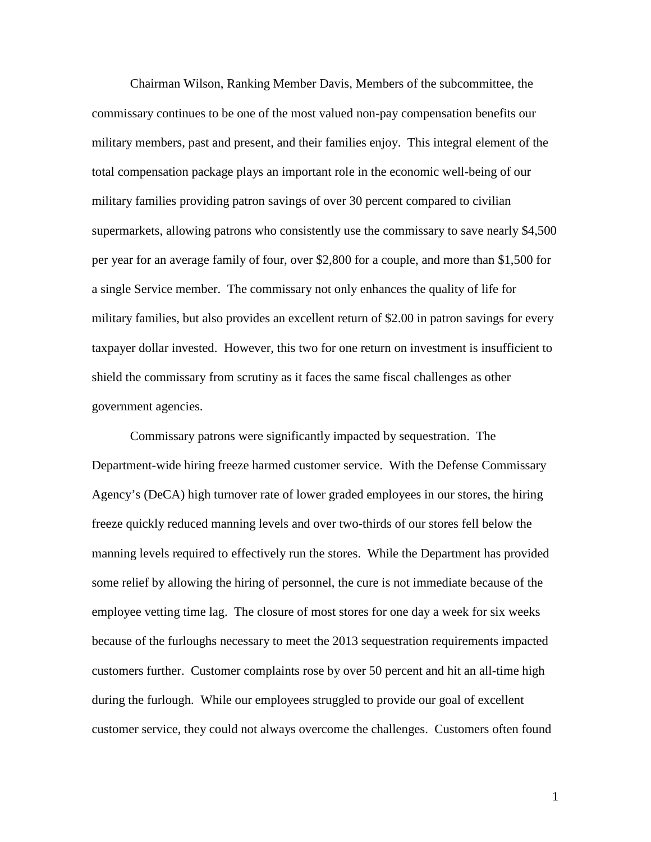Chairman Wilson, Ranking Member Davis, Members of the subcommittee, the commissary continues to be one of the most valued non-pay compensation benefits our military members, past and present, and their families enjoy. This integral element of the total compensation package plays an important role in the economic well-being of our military families providing patron savings of over 30 percent compared to civilian supermarkets, allowing patrons who consistently use the commissary to save nearly \$4,500 per year for an average family of four, over \$2,800 for a couple, and more than \$1,500 for a single Service member. The commissary not only enhances the quality of life for military families, but also provides an excellent return of \$2.00 in patron savings for every taxpayer dollar invested. However, this two for one return on investment is insufficient to shield the commissary from scrutiny as it faces the same fiscal challenges as other government agencies.

Commissary patrons were significantly impacted by sequestration. The Department-wide hiring freeze harmed customer service. With the Defense Commissary Agency's (DeCA) high turnover rate of lower graded employees in our stores, the hiring freeze quickly reduced manning levels and over two-thirds of our stores fell below the manning levels required to effectively run the stores. While the Department has provided some relief by allowing the hiring of personnel, the cure is not immediate because of the employee vetting time lag. The closure of most stores for one day a week for six weeks because of the furloughs necessary to meet the 2013 sequestration requirements impacted customers further. Customer complaints rose by over 50 percent and hit an all-time high during the furlough. While our employees struggled to provide our goal of excellent customer service, they could not always overcome the challenges. Customers often found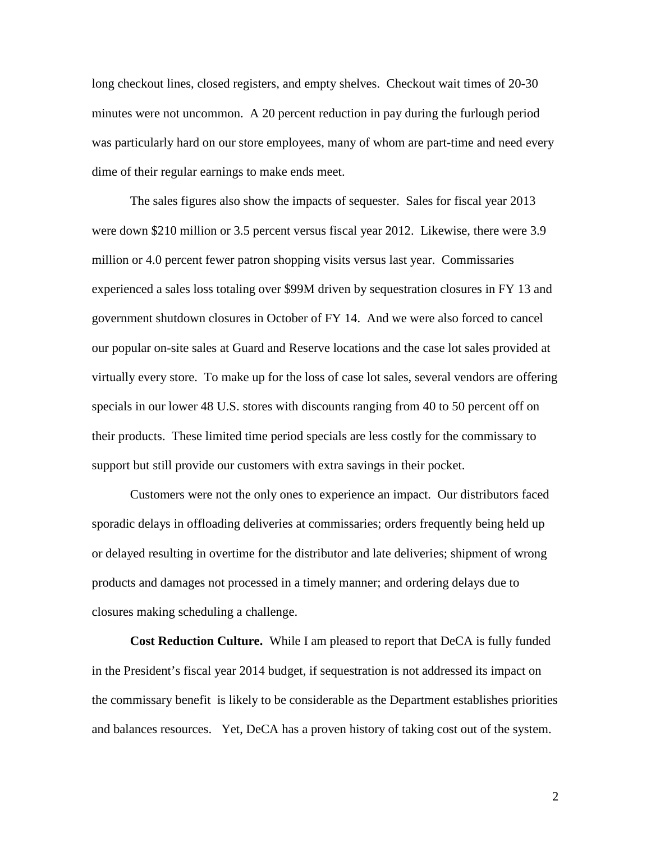long checkout lines, closed registers, and empty shelves. Checkout wait times of 20-30 minutes were not uncommon. A 20 percent reduction in pay during the furlough period was particularly hard on our store employees, many of whom are part-time and need every dime of their regular earnings to make ends meet.

The sales figures also show the impacts of sequester. Sales for fiscal year 2013 were down \$210 million or 3.5 percent versus fiscal year 2012. Likewise, there were 3.9 million or 4.0 percent fewer patron shopping visits versus last year. Commissaries experienced a sales loss totaling over \$99M driven by sequestration closures in FY 13 and government shutdown closures in October of FY 14. And we were also forced to cancel our popular on-site sales at Guard and Reserve locations and the case lot sales provided at virtually every store. To make up for the loss of case lot sales, several vendors are offering specials in our lower 48 U.S. stores with discounts ranging from 40 to 50 percent off on their products. These limited time period specials are less costly for the commissary to support but still provide our customers with extra savings in their pocket.

Customers were not the only ones to experience an impact. Our distributors faced sporadic delays in offloading deliveries at commissaries; orders frequently being held up or delayed resulting in overtime for the distributor and late deliveries; shipment of wrong products and damages not processed in a timely manner; and ordering delays due to closures making scheduling a challenge.

**Cost Reduction Culture.** While I am pleased to report that DeCA is fully funded in the President's fiscal year 2014 budget, if sequestration is not addressed its impact on the commissary benefit is likely to be considerable as the Department establishes priorities and balances resources. Yet, DeCA has a proven history of taking cost out of the system.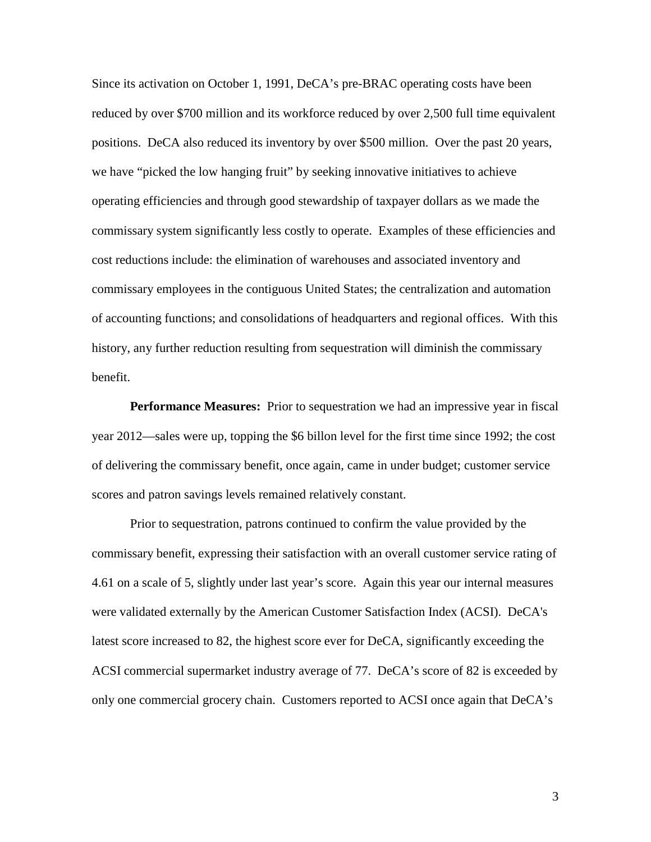Since its activation on October 1, 1991, DeCA's pre-BRAC operating costs have been reduced by over \$700 million and its workforce reduced by over 2,500 full time equivalent positions. DeCA also reduced its inventory by over \$500 million. Over the past 20 years, we have "picked the low hanging fruit" by seeking innovative initiatives to achieve operating efficiencies and through good stewardship of taxpayer dollars as we made the commissary system significantly less costly to operate. Examples of these efficiencies and cost reductions include: the elimination of warehouses and associated inventory and commissary employees in the contiguous United States; the centralization and automation of accounting functions; and consolidations of headquarters and regional offices. With this history, any further reduction resulting from sequestration will diminish the commissary benefit.

**Performance Measures:** Prior to sequestration we had an impressive year in fiscal year 2012—sales were up, topping the \$6 billon level for the first time since 1992; the cost of delivering the commissary benefit, once again, came in under budget; customer service scores and patron savings levels remained relatively constant.

Prior to sequestration, patrons continued to confirm the value provided by the commissary benefit, expressing their satisfaction with an overall customer service rating of 4.61 on a scale of 5, slightly under last year's score. Again this year our internal measures were validated externally by the American Customer Satisfaction Index (ACSI). DeCA's latest score increased to 82, the highest score ever for DeCA, significantly exceeding the ACSI commercial supermarket industry average of 77. DeCA's score of 82 is exceeded by only one commercial grocery chain. Customers reported to ACSI once again that DeCA's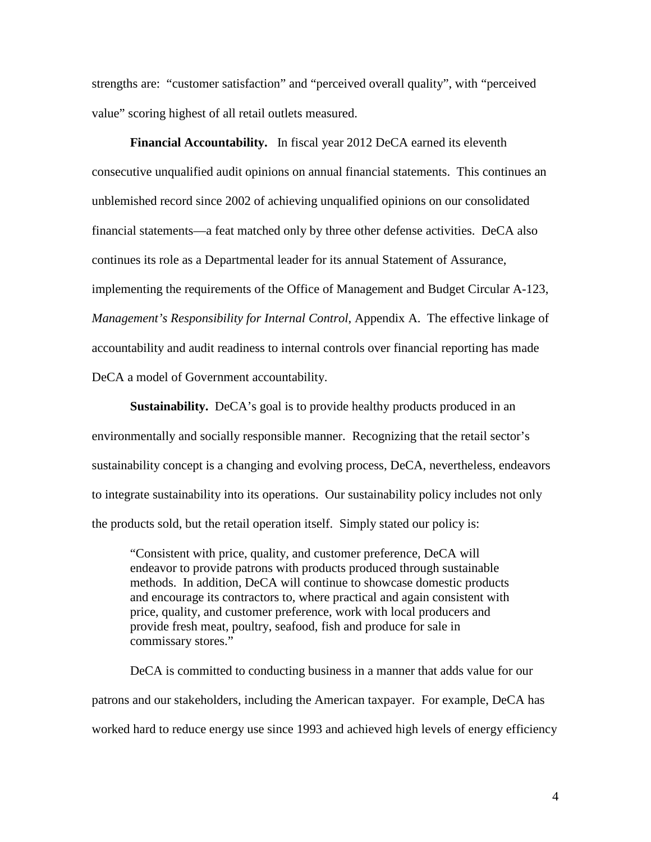strengths are: "customer satisfaction" and "perceived overall quality", with "perceived value" scoring highest of all retail outlets measured.

**Financial Accountability.** In fiscal year 2012 DeCA earned its eleventh consecutive unqualified audit opinions on annual financial statements. This continues an unblemished record since 2002 of achieving unqualified opinions on our consolidated financial statements—a feat matched only by three other defense activities. DeCA also continues its role as a Departmental leader for its annual Statement of Assurance, implementing the requirements of the Office of Management and Budget Circular A-123, *Management's Responsibility for Internal Control*, Appendix A. The effective linkage of accountability and audit readiness to internal controls over financial reporting has made DeCA a model of Government accountability.

**Sustainability.** DeCA's goal is to provide healthy products produced in an environmentally and socially responsible manner. Recognizing that the retail sector's sustainability concept is a changing and evolving process, DeCA, nevertheless, endeavors to integrate sustainability into its operations. Our sustainability policy includes not only the products sold, but the retail operation itself. Simply stated our policy is:

"Consistent with price, quality, and customer preference, DeCA will endeavor to provide patrons with products produced through sustainable methods. In addition, DeCA will continue to showcase domestic products and encourage its contractors to, where practical and again consistent with price, quality, and customer preference, work with local producers and provide fresh meat, poultry, seafood, fish and produce for sale in commissary stores."

DeCA is committed to conducting business in a manner that adds value for our patrons and our stakeholders, including the American taxpayer. For example, DeCA has worked hard to reduce energy use since 1993 and achieved high levels of energy efficiency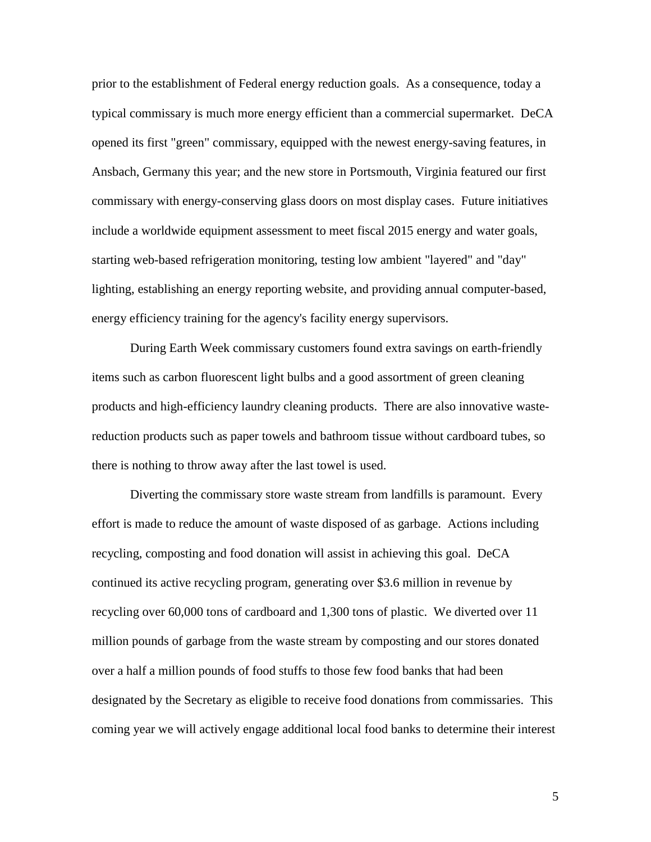prior to the establishment of Federal energy reduction goals. As a consequence, today a typical commissary is much more energy efficient than a commercial supermarket. DeCA opened its first "green" commissary, equipped with the newest energy-saving features, in Ansbach, Germany this year; and the new store in Portsmouth, Virginia featured our first commissary with energy-conserving glass doors on most display cases. Future initiatives include a worldwide equipment assessment to meet fiscal 2015 energy and water goals, starting web-based refrigeration monitoring, testing low ambient "layered" and "day" lighting, establishing an energy reporting website, and providing annual computer-based, energy efficiency training for the agency's facility energy supervisors.

During Earth Week commissary customers found extra savings on earth-friendly items such as carbon fluorescent light bulbs and a good assortment of green cleaning products and high-efficiency laundry cleaning products. There are also innovative wastereduction products such as paper towels and bathroom tissue without cardboard tubes, so there is nothing to throw away after the last towel is used.

Diverting the commissary store waste stream from landfills is paramount. Every effort is made to reduce the amount of waste disposed of as garbage. Actions including recycling, composting and food donation will assist in achieving this goal. DeCA continued its active recycling program, generating over \$3.6 million in revenue by recycling over 60,000 tons of cardboard and 1,300 tons of plastic. We diverted over 11 million pounds of garbage from the waste stream by composting and our stores donated over a half a million pounds of food stuffs to those few food banks that had been designated by the Secretary as eligible to receive food donations from commissaries. This coming year we will actively engage additional local food banks to determine their interest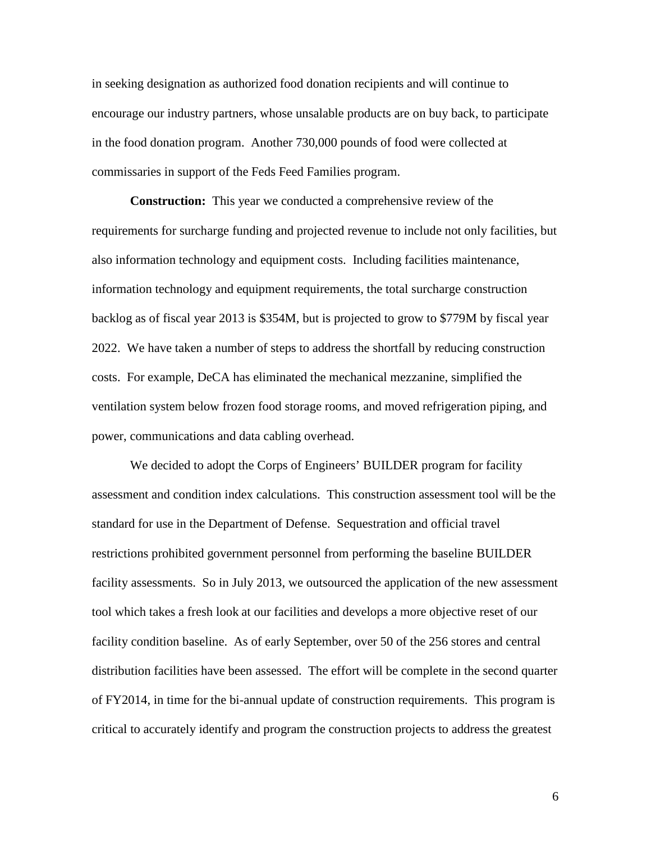in seeking designation as authorized food donation recipients and will continue to encourage our industry partners, whose unsalable products are on buy back, to participate in the food donation program. Another 730,000 pounds of food were collected at commissaries in support of the Feds Feed Families program.

**Construction:** This year we conducted a comprehensive review of the requirements for surcharge funding and projected revenue to include not only facilities, but also information technology and equipment costs. Including facilities maintenance, information technology and equipment requirements, the total surcharge construction backlog as of fiscal year 2013 is \$354M, but is projected to grow to \$779M by fiscal year 2022. We have taken a number of steps to address the shortfall by reducing construction costs. For example, DeCA has eliminated the mechanical mezzanine, simplified the ventilation system below frozen food storage rooms, and moved refrigeration piping, and power, communications and data cabling overhead.

We decided to adopt the Corps of Engineers' BUILDER program for facility assessment and condition index calculations. This construction assessment tool will be the standard for use in the Department of Defense. Sequestration and official travel restrictions prohibited government personnel from performing the baseline BUILDER facility assessments. So in July 2013, we outsourced the application of the new assessment tool which takes a fresh look at our facilities and develops a more objective reset of our facility condition baseline. As of early September, over 50 of the 256 stores and central distribution facilities have been assessed. The effort will be complete in the second quarter of FY2014, in time for the bi-annual update of construction requirements. This program is critical to accurately identify and program the construction projects to address the greatest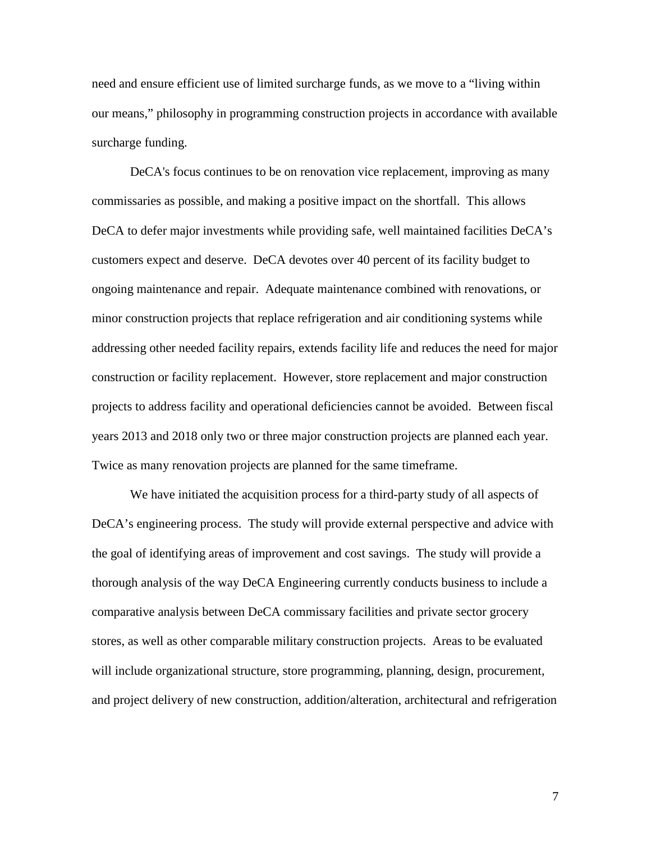need and ensure efficient use of limited surcharge funds, as we move to a "living within our means," philosophy in programming construction projects in accordance with available surcharge funding.

DeCA's focus continues to be on renovation vice replacement, improving as many commissaries as possible, and making a positive impact on the shortfall. This allows DeCA to defer major investments while providing safe, well maintained facilities DeCA's customers expect and deserve. DeCA devotes over 40 percent of its facility budget to ongoing maintenance and repair. Adequate maintenance combined with renovations, or minor construction projects that replace refrigeration and air conditioning systems while addressing other needed facility repairs, extends facility life and reduces the need for major construction or facility replacement. However, store replacement and major construction projects to address facility and operational deficiencies cannot be avoided. Between fiscal years 2013 and 2018 only two or three major construction projects are planned each year. Twice as many renovation projects are planned for the same timeframe.

We have initiated the acquisition process for a third-party study of all aspects of DeCA's engineering process. The study will provide external perspective and advice with the goal of identifying areas of improvement and cost savings. The study will provide a thorough analysis of the way DeCA Engineering currently conducts business to include a comparative analysis between DeCA commissary facilities and private sector grocery stores, as well as other comparable military construction projects. Areas to be evaluated will include organizational structure, store programming, planning, design, procurement, and project delivery of new construction, addition/alteration, architectural and refrigeration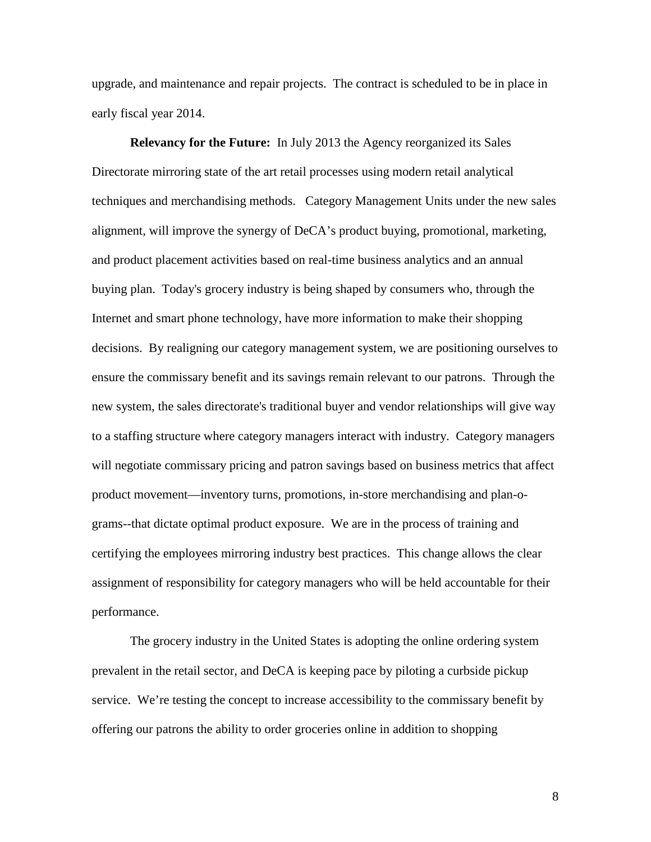upgrade, and maintenance and repair projects. The contract is scheduled to be in place in early fiscal year 2014.

**Relevancy for the Future:** In July 2013 the Agency reorganized its Sales Directorate mirroring state of the art retail processes using modern retail analytical techniques and merchandising methods. Category Management Units under the new sales alignment, will improve the synergy of DeCA's product buying, promotional, marketing, and product placement activities based on real-time business analytics and an annual buying plan. Today's grocery industry is being shaped by consumers who, through the Internet and smart phone technology, have more information to make their shopping decisions. By realigning our category management system, we are positioning ourselves to ensure the commissary benefit and its savings remain relevant to our patrons. Through the new system, the sales directorate's traditional buyer and vendor relationships will give way to a staffing structure where category managers interact with industry. Category managers will negotiate commissary pricing and patron savings based on business metrics that affect product movement—inventory turns, promotions, in-store merchandising and plan-ograms--that dictate optimal product exposure. We are in the process of training and certifying the employees mirroring industry best practices. This change allows the clear assignment of responsibility for category managers who will be held accountable for their performance.

The grocery industry in the United States is adopting the online ordering system prevalent in the retail sector, and DeCA is keeping pace by piloting a curbside pickup service. We're testing the concept to increase accessibility to the commissary benefit by offering our patrons the ability to order groceries online in addition to shopping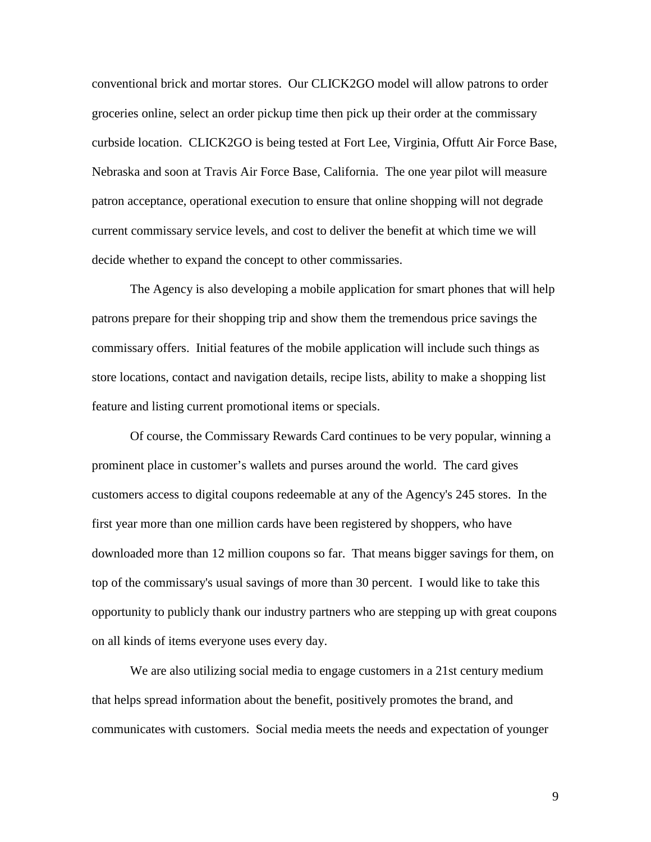conventional brick and mortar stores. Our CLICK2GO model will allow patrons to order groceries online, select an order pickup time then pick up their order at the commissary curbside location. CLICK2GO is being tested at Fort Lee, Virginia, Offutt Air Force Base, Nebraska and soon at Travis Air Force Base, California. The one year pilot will measure patron acceptance, operational execution to ensure that online shopping will not degrade current commissary service levels, and cost to deliver the benefit at which time we will decide whether to expand the concept to other commissaries.

The Agency is also developing a mobile application for smart phones that will help patrons prepare for their shopping trip and show them the tremendous price savings the commissary offers. Initial features of the mobile application will include such things as store locations, contact and navigation details, recipe lists, ability to make a shopping list feature and listing current promotional items or specials.

Of course, the Commissary Rewards Card continues to be very popular, winning a prominent place in customer's wallets and purses around the world. The card gives customers access to digital coupons redeemable at any of the Agency's 245 stores. In the first year more than one million cards have been registered by shoppers, who have downloaded more than 12 million coupons so far. That means bigger savings for them, on top of the commissary's usual savings of more than 30 percent. I would like to take this opportunity to publicly thank our industry partners who are stepping up with great coupons on all kinds of items everyone uses every day.

We are also utilizing social media to engage customers in a 21st century medium that helps spread information about the benefit, positively promotes the brand, and communicates with customers. Social media meets the needs and expectation of younger